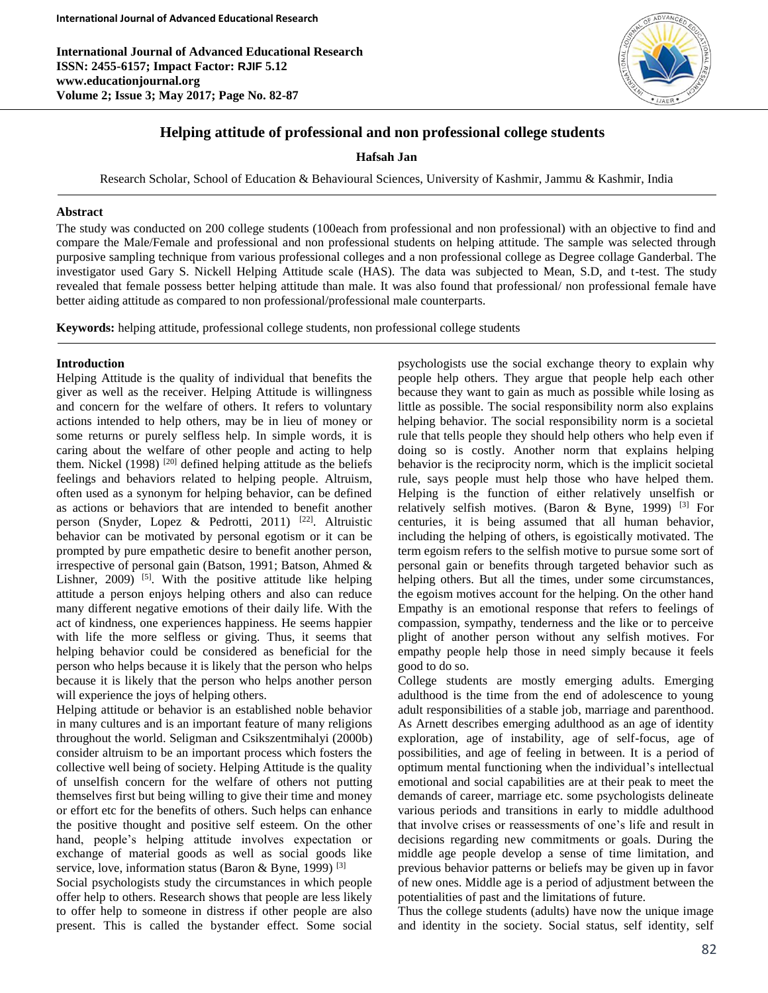**International Journal of Advanced Educational Research ISSN: 2455-6157; Impact Factor: RJIF 5.12 www.educationjournal.org Volume 2; Issue 3; May 2017; Page No. 82-87**



# **Helping attitude of professional and non professional college students**

### **Hafsah Jan**

Research Scholar, School of Education & Behavioural Sciences, University of Kashmir, Jammu & Kashmir, India

### **Abstract**

The study was conducted on 200 college students (100each from professional and non professional) with an objective to find and compare the Male/Female and professional and non professional students on helping attitude. The sample was selected through purposive sampling technique from various professional colleges and a non professional college as Degree collage Ganderbal. The investigator used Gary S. Nickell Helping Attitude scale (HAS). The data was subjected to Mean, S.D, and t-test. The study revealed that female possess better helping attitude than male. It was also found that professional/ non professional female have better aiding attitude as compared to non professional/professional male counterparts.

**Keywords:** helping attitude, professional college students, non professional college students

### **Introduction**

Ī

Helping Attitude is the quality of individual that benefits the giver as well as the receiver. Helping Attitude is willingness and concern for the welfare of others. It refers to voluntary actions intended to help others, may be in lieu of money or some returns or purely selfless help. In simple words, it is caring about the welfare of other people and acting to help them. Nickel  $(1998)$ <sup>[20]</sup> defined helping attitude as the beliefs feelings and behaviors related to helping people. Altruism, often used as a synonym for helping behavior, can be defined as actions or behaviors that are intended to benefit another person (Snyder, Lopez & Pedrotti, 2011)<sup>[22]</sup>. Altruistic behavior can be motivated by personal egotism or it can be prompted by pure empathetic desire to benefit another person, irrespective of personal gain (Batson, 1991; Batson, Ahmed & Lishner,  $2009$ <sup>[5]</sup>. With the positive attitude like helping attitude a person enjoys helping others and also can reduce many different negative emotions of their daily life. With the act of kindness, one experiences happiness. He seems happier with life the more selfless or giving. Thus, it seems that helping behavior could be considered as beneficial for the person who helps because it is likely that the person who helps because it is likely that the person who helps another person will experience the joys of helping others.

Helping attitude or behavior is an established noble behavior in many cultures and is an important feature of many religions throughout the world. Seligman and Csikszentmihalyi (2000b) consider altruism to be an important process which fosters the collective well being of society. Helping Attitude is the quality of unselfish concern for the welfare of others not putting themselves first but being willing to give their time and money or effort etc for the benefits of others. Such helps can enhance the positive thought and positive self esteem. On the other hand, people's helping attitude involves expectation or exchange of material goods as well as social goods like service, love, information status (Baron & Byne, 1999)<sup>[3]</sup>

Social psychologists study the circumstances in which people offer help to others. Research shows that people are less likely to offer help to someone in distress if other people are also present. This is called the bystander effect. Some social

psychologists use the social exchange theory to explain why people help others. They argue that people help each other because they want to gain as much as possible while losing as little as possible. The social responsibility norm also explains helping behavior. The social responsibility norm is a societal rule that tells people they should help others who help even if doing so is costly. Another norm that explains helping behavior is the reciprocity norm, which is the implicit societal rule, says people must help those who have helped them. Helping is the function of either relatively unselfish or relatively selfish motives. (Baron & Byne, 1999) [3] For centuries, it is being assumed that all human behavior, including the helping of others, is egoistically motivated. The term egoism refers to the selfish motive to pursue some sort of personal gain or benefits through targeted behavior such as helping others. But all the times, under some circumstances, the egoism motives account for the helping. On the other hand Empathy is an emotional response that refers to feelings of compassion, sympathy, tenderness and the like or to perceive plight of another person without any selfish motives. For empathy people help those in need simply because it feels good to do so.

College students are mostly emerging adults. Emerging adulthood is the time from the end of adolescence to young adult responsibilities of a stable job, marriage and parenthood. As Arnett describes emerging adulthood as an age of identity exploration, age of instability, age of self-focus, age of possibilities, and age of feeling in between. It is a period of optimum mental functioning when the individual's intellectual emotional and social capabilities are at their peak to meet the demands of career, marriage etc. some psychologists delineate various periods and transitions in early to middle adulthood that involve crises or reassessments of one's life and result in decisions regarding new commitments or goals. During the middle age people develop a sense of time limitation, and previous behavior patterns or beliefs may be given up in favor of new ones. Middle age is a period of adjustment between the potentialities of past and the limitations of future.

Thus the college students (adults) have now the unique image and identity in the society. Social status, self identity, self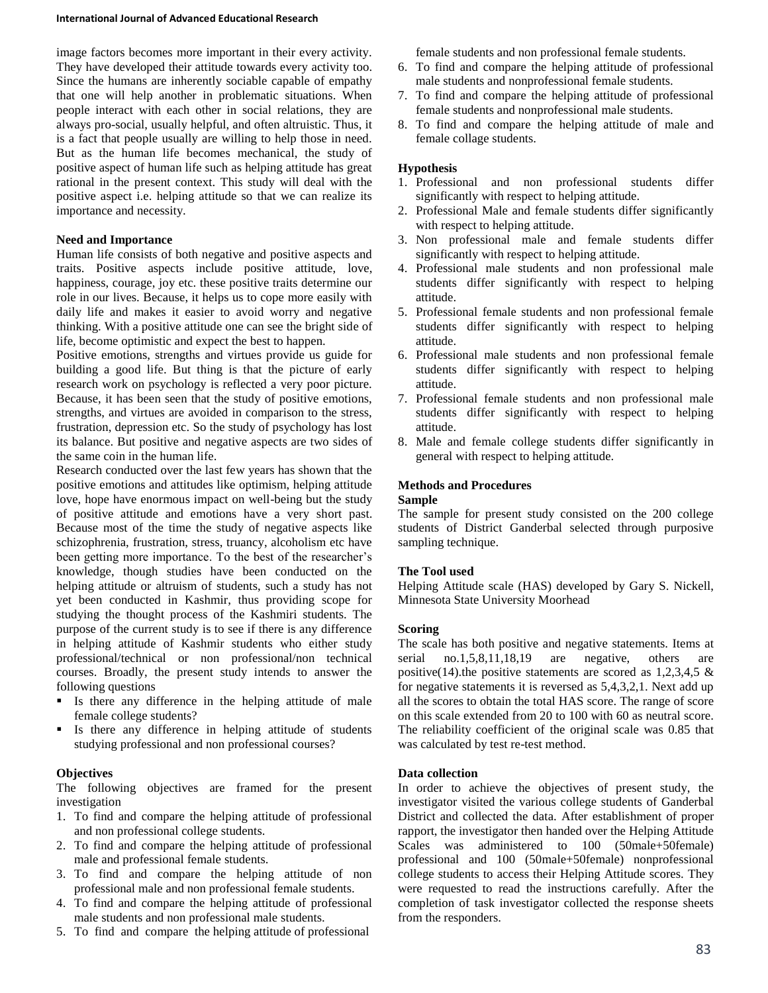#### **International Journal of Advanced Educational Research**

image factors becomes more important in their every activity. They have developed their attitude towards every activity too. Since the humans are inherently sociable capable of empathy that one will help another in problematic situations. When people interact with each other in social relations, they are always pro-social, usually helpful, and often altruistic. Thus, it is a fact that people usually are willing to help those in need. But as the human life becomes mechanical, the study of positive aspect of human life such as helping attitude has great rational in the present context. This study will deal with the positive aspect i.e. helping attitude so that we can realize its importance and necessity.

### **Need and Importance**

Human life consists of both negative and positive aspects and traits. Positive aspects include positive attitude, love, happiness, courage, joy etc. these positive traits determine our role in our lives. Because, it helps us to cope more easily with daily life and makes it easier to avoid worry and negative thinking. With a positive attitude one can see the bright side of life, become optimistic and expect the best to happen.

Positive emotions, strengths and virtues provide us guide for building a good life. But thing is that the picture of early research work on psychology is reflected a very poor picture. Because, it has been seen that the study of positive emotions, strengths, and virtues are avoided in comparison to the stress, frustration, depression etc. So the study of psychology has lost its balance. But positive and negative aspects are two sides of the same coin in the human life.

Research conducted over the last few years has shown that the positive emotions and attitudes like optimism, helping attitude love, hope have enormous impact on well-being but the study of positive attitude and emotions have a very short past. Because most of the time the study of negative aspects like schizophrenia, frustration, stress, truancy, alcoholism etc have been getting more importance. To the best of the researcher's knowledge, though studies have been conducted on the helping attitude or altruism of students, such a study has not yet been conducted in Kashmir, thus providing scope for studying the thought process of the Kashmiri students. The purpose of the current study is to see if there is any difference in helping attitude of Kashmir students who either study professional/technical or non professional/non technical courses. Broadly, the present study intends to answer the following questions

- Is there any difference in the helping attitude of male female college students?
- Is there any difference in helping attitude of students studying professional and non professional courses?

### **Objectives**

The following objectives are framed for the present investigation

- 1. To find and compare the helping attitude of professional and non professional college students.
- 2. To find and compare the helping attitude of professional male and professional female students.
- 3. To find and compare the helping attitude of non professional male and non professional female students.
- 4. To find and compare the helping attitude of professional male students and non professional male students.
- 5. To find and compare the helping attitude of professional

female students and non professional female students.

- 6. To find and compare the helping attitude of professional male students and nonprofessional female students.
- 7. To find and compare the helping attitude of professional female students and nonprofessional male students.
- 8. To find and compare the helping attitude of male and female collage students.

### **Hypothesis**

- 1. Professional and non professional students differ significantly with respect to helping attitude.
- 2. Professional Male and female students differ significantly with respect to helping attitude.
- 3. Non professional male and female students differ significantly with respect to helping attitude.
- 4. Professional male students and non professional male students differ significantly with respect to helping attitude.
- 5. Professional female students and non professional female students differ significantly with respect to helping attitude.
- 6. Professional male students and non professional female students differ significantly with respect to helping attitude.
- 7. Professional female students and non professional male students differ significantly with respect to helping attitude.
- 8. Male and female college students differ significantly in general with respect to helping attitude.

## **Methods and Procedures**

#### **Sample**

The sample for present study consisted on the 200 college students of District Ganderbal selected through purposive sampling technique.

### **The Tool used**

Helping Attitude scale (HAS) developed by Gary S. Nickell, Minnesota State University Moorhead

### **Scoring**

The scale has both positive and negative statements. Items at serial no.1,5,8,11,18,19 are negative, others are positive(14).the positive statements are scored as  $1,2,3,4,5$  & for negative statements it is reversed as 5,4,3,2,1. Next add up all the scores to obtain the total HAS score. The range of score on this scale extended from 20 to 100 with 60 as neutral score. The reliability coefficient of the original scale was 0.85 that was calculated by test re-test method.

### **Data collection**

In order to achieve the objectives of present study, the investigator visited the various college students of Ganderbal District and collected the data. After establishment of proper rapport, the investigator then handed over the Helping Attitude Scales was administered to 100 (50male+50female) professional and 100 (50male+50female) nonprofessional college students to access their Helping Attitude scores. They were requested to read the instructions carefully. After the completion of task investigator collected the response sheets from the responders.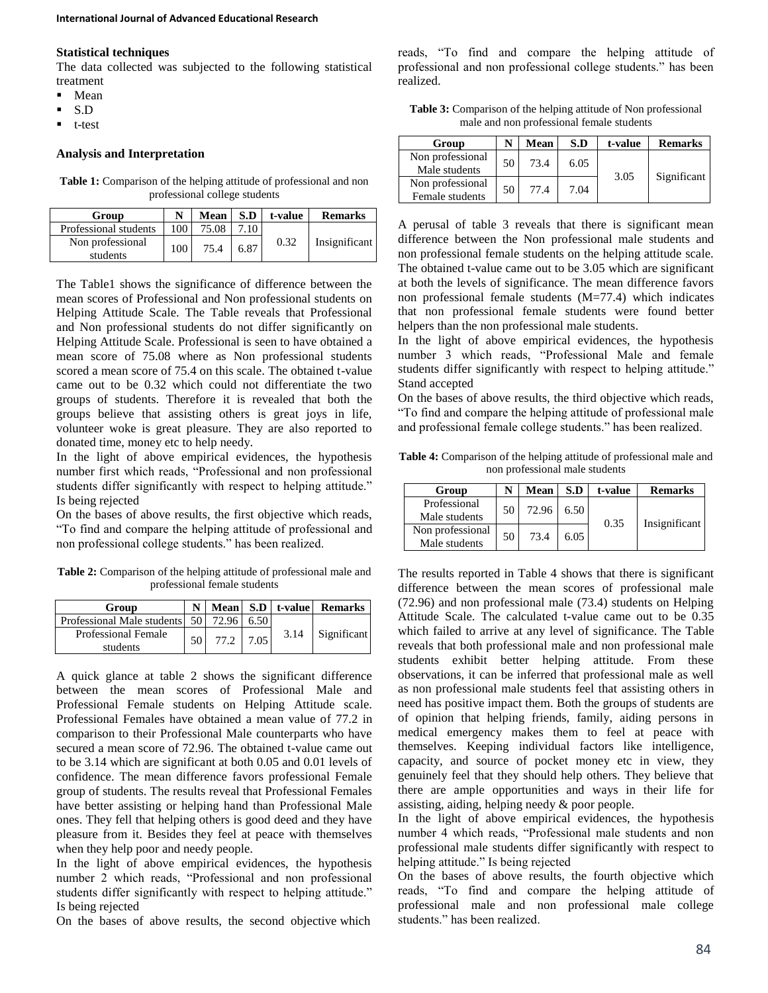#### **Statistical techniques**

The data collected was subjected to the following statistical treatment

- Mean
- S.D
- t-test

#### **Analysis and Interpretation**

Table 1: Comparison of the helping attitude of professional and non professional college students

| Group                        |     | <b>Mean</b> | S.D             | t-value | <b>Remarks</b> |
|------------------------------|-----|-------------|-----------------|---------|----------------|
| Professional students        | 100 | 75.08       | $\overline{10}$ |         |                |
| Non professional<br>students | 100 | 75.4        | 6.87            | 0.32    | Insignificant  |

The Table1 shows the significance of difference between the mean scores of Professional and Non professional students on Helping Attitude Scale. The Table reveals that Professional and Non professional students do not differ significantly on Helping Attitude Scale. Professional is seen to have obtained a mean score of 75.08 where as Non professional students scored a mean score of 75.4 on this scale. The obtained t-value came out to be 0.32 which could not differentiate the two groups of students. Therefore it is revealed that both the groups believe that assisting others is great joys in life, volunteer woke is great pleasure. They are also reported to donated time, money etc to help needy.

In the light of above empirical evidences, the hypothesis number first which reads, "Professional and non professional students differ significantly with respect to helping attitude." Is being rejected

On the bases of above results, the first objective which reads, "To find and compare the helping attitude of professional and non professional college students." has been realized.

**Table 2:** Comparison of the helping attitude of professional male and professional female students

| Group                                        |                 |           |      | N   Mean   S.D   t-value   Remarks |
|----------------------------------------------|-----------------|-----------|------|------------------------------------|
| Professional Male students 50   72.96   6.50 |                 |           |      |                                    |
| <b>Professional Female</b>                   |                 | 77.2 7.05 | 3.14 | Significant                        |
| students                                     | 50 <sup>1</sup> |           |      |                                    |

A quick glance at table 2 shows the significant difference between the mean scores of Professional Male and Professional Female students on Helping Attitude scale. Professional Females have obtained a mean value of 77.2 in comparison to their Professional Male counterparts who have secured a mean score of 72.96. The obtained t-value came out to be 3.14 which are significant at both 0.05 and 0.01 levels of confidence. The mean difference favors professional Female group of students. The results reveal that Professional Females have better assisting or helping hand than Professional Male ones. They fell that helping others is good deed and they have pleasure from it. Besides they feel at peace with themselves when they help poor and needy people.

In the light of above empirical evidences, the hypothesis number 2 which reads, "Professional and non professional students differ significantly with respect to helping attitude." Is being rejected

On the bases of above results, the second objective which

reads, "To find and compare the helping attitude of professional and non professional college students." has been realized.

**Table 3:** Comparison of the helping attitude of Non professional male and non professional female students

| Group                               |    | Mean | S.D  | t-value | <b>Remarks</b> |
|-------------------------------------|----|------|------|---------|----------------|
| Non professional<br>Male students   | 50 | 73.4 | 6.05 | 3.05    | Significant    |
| Non professional<br>Female students | 50 | 77.4 | 7.04 |         |                |

A perusal of table 3 reveals that there is significant mean difference between the Non professional male students and non professional female students on the helping attitude scale. The obtained t-value came out to be 3.05 which are significant at both the levels of significance. The mean difference favors non professional female students (M=77.4) which indicates that non professional female students were found better helpers than the non professional male students.

In the light of above empirical evidences, the hypothesis number 3 which reads, "Professional Male and female students differ significantly with respect to helping attitude." Stand accepted

On the bases of above results, the third objective which reads, "To find and compare the helping attitude of professional male and professional female college students." has been realized.

**Table 4:** Comparison of the helping attitude of professional male and non professional male students

| Group                             |    | Mean  | S.D  | t-value | <b>Remarks</b> |
|-----------------------------------|----|-------|------|---------|----------------|
| Professional<br>Male students     | 50 | 72.96 | 6.50 | 0.35    | Insignificant  |
| Non professional<br>Male students | 50 | 73.4  | 6.05 |         |                |

The results reported in Table 4 shows that there is significant difference between the mean scores of professional male (72.96) and non professional male (73.4) students on Helping Attitude Scale. The calculated t-value came out to be 0.35 which failed to arrive at any level of significance. The Table reveals that both professional male and non professional male students exhibit better helping attitude. From these observations, it can be inferred that professional male as well as non professional male students feel that assisting others in need has positive impact them. Both the groups of students are of opinion that helping friends, family, aiding persons in medical emergency makes them to feel at peace with themselves. Keeping individual factors like intelligence, capacity, and source of pocket money etc in view, they genuinely feel that they should help others. They believe that there are ample opportunities and ways in their life for assisting, aiding, helping needy & poor people.

In the light of above empirical evidences, the hypothesis number 4 which reads, "Professional male students and non professional male students differ significantly with respect to helping attitude." Is being rejected

On the bases of above results, the fourth objective which reads, "To find and compare the helping attitude of professional male and non professional male college students." has been realized.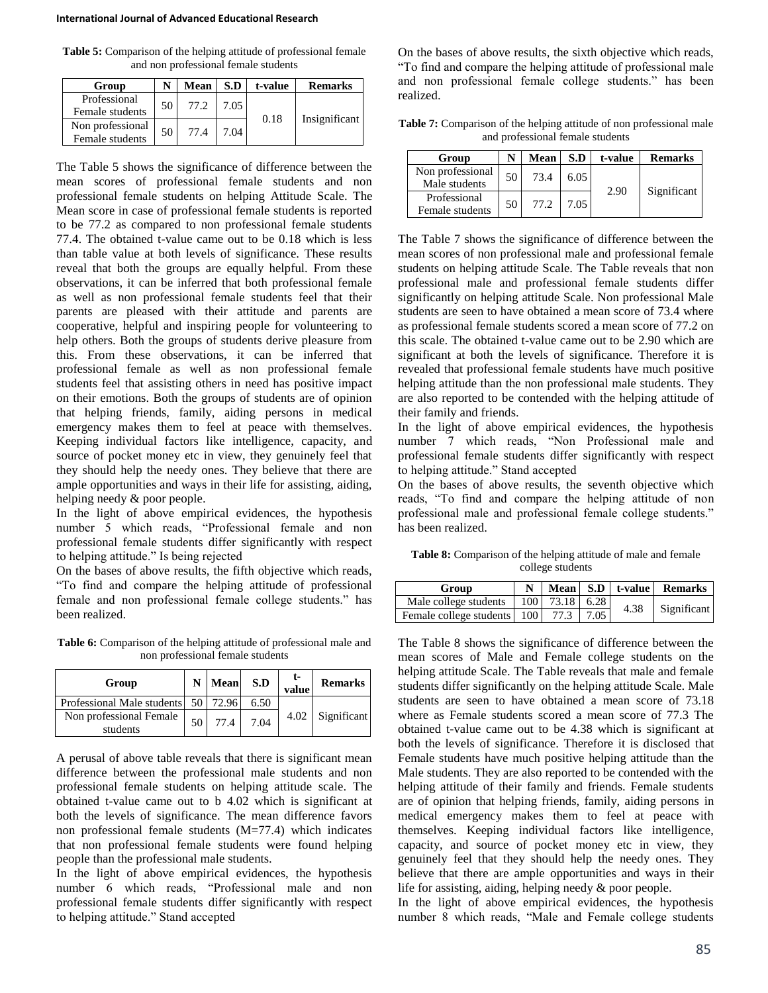**Table 5:** Comparison of the helping attitude of professional female and non professional female students

| Group                               | N  | Mean | S.D  | t-value | <b>Remarks</b> |
|-------------------------------------|----|------|------|---------|----------------|
| Professional<br>Female students     | 50 | 77.2 | 7.05 | 0.18    | Insignificant  |
| Non professional<br>Female students | 50 | 77.4 | 7.04 |         |                |

The Table 5 shows the significance of difference between the mean scores of professional female students and non professional female students on helping Attitude Scale. The Mean score in case of professional female students is reported to be 77.2 as compared to non professional female students 77.4. The obtained t-value came out to be 0.18 which is less than table value at both levels of significance. These results reveal that both the groups are equally helpful. From these observations, it can be inferred that both professional female as well as non professional female students feel that their parents are pleased with their attitude and parents are cooperative, helpful and inspiring people for volunteering to help others. Both the groups of students derive pleasure from this. From these observations, it can be inferred that professional female as well as non professional female students feel that assisting others in need has positive impact on their emotions. Both the groups of students are of opinion that helping friends, family, aiding persons in medical emergency makes them to feel at peace with themselves. Keeping individual factors like intelligence, capacity, and source of pocket money etc in view, they genuinely feel that they should help the needy ones. They believe that there are ample opportunities and ways in their life for assisting, aiding, helping needy & poor people.

In the light of above empirical evidences, the hypothesis number 5 which reads, "Professional female and non professional female students differ significantly with respect to helping attitude." Is being rejected

On the bases of above results, the fifth objective which reads, "To find and compare the helping attitude of professional female and non professional female college students." has been realized.

**Table 6:** Comparison of the helping attitude of professional male and non professional female students

| Group                                 |    | N Mean | S.D  | t-<br>value | <b>Remarks</b> |
|---------------------------------------|----|--------|------|-------------|----------------|
| Professional Male students 50   72.96 |    |        | 6.50 |             |                |
| Non professional Female<br>students   | 50 | 77.4   | 7.04 | 4.02        | Significant    |

A perusal of above table reveals that there is significant mean difference between the professional male students and non professional female students on helping attitude scale. The obtained t-value came out to b 4.02 which is significant at both the levels of significance. The mean difference favors non professional female students (M=77.4) which indicates that non professional female students were found helping people than the professional male students.

In the light of above empirical evidences, the hypothesis number 6 which reads, "Professional male and non professional female students differ significantly with respect to helping attitude." Stand accepted

On the bases of above results, the sixth objective which reads, "To find and compare the helping attitude of professional male and non professional female college students." has been realized.

**Table 7:** Comparison of the helping attitude of non professional male and professional female students

| Group                             |    | Mean | S.D  | t-value | <b>Remarks</b> |
|-----------------------------------|----|------|------|---------|----------------|
| Non professional<br>Male students | 50 | 73.4 | 6.05 | 2.90    |                |
| Professional<br>Female students   | 50 | 77.2 | 7.05 |         | Significant    |

The Table 7 shows the significance of difference between the mean scores of non professional male and professional female students on helping attitude Scale. The Table reveals that non professional male and professional female students differ significantly on helping attitude Scale. Non professional Male students are seen to have obtained a mean score of 73.4 where as professional female students scored a mean score of 77.2 on this scale. The obtained t-value came out to be 2.90 which are significant at both the levels of significance. Therefore it is revealed that professional female students have much positive helping attitude than the non professional male students. They are also reported to be contended with the helping attitude of their family and friends.

In the light of above empirical evidences, the hypothesis number 7 which reads, "Non Professional male and professional female students differ significantly with respect to helping attitude." Stand accepted

On the bases of above results, the seventh objective which reads, "To find and compare the helping attitude of non professional male and professional female college students." has been realized.

**Table 8:** Comparison of the helping attitude of male and female college students

| Group                                       |  |  | N   Mean   S.D   t-value   Remarks |
|---------------------------------------------|--|--|------------------------------------|
| Male college students   100   73.18   6.28  |  |  | 4.38 Significant                   |
| Female college students   100   77.3   7.05 |  |  |                                    |

The Table 8 shows the significance of difference between the mean scores of Male and Female college students on the helping attitude Scale. The Table reveals that male and female students differ significantly on the helping attitude Scale. Male students are seen to have obtained a mean score of 73.18 where as Female students scored a mean score of 77.3 The obtained t-value came out to be 4.38 which is significant at both the levels of significance. Therefore it is disclosed that Female students have much positive helping attitude than the Male students. They are also reported to be contended with the helping attitude of their family and friends. Female students are of opinion that helping friends, family, aiding persons in medical emergency makes them to feel at peace with themselves. Keeping individual factors like intelligence, capacity, and source of pocket money etc in view, they genuinely feel that they should help the needy ones. They believe that there are ample opportunities and ways in their life for assisting, aiding, helping needy & poor people.

In the light of above empirical evidences, the hypothesis number 8 which reads, "Male and Female college students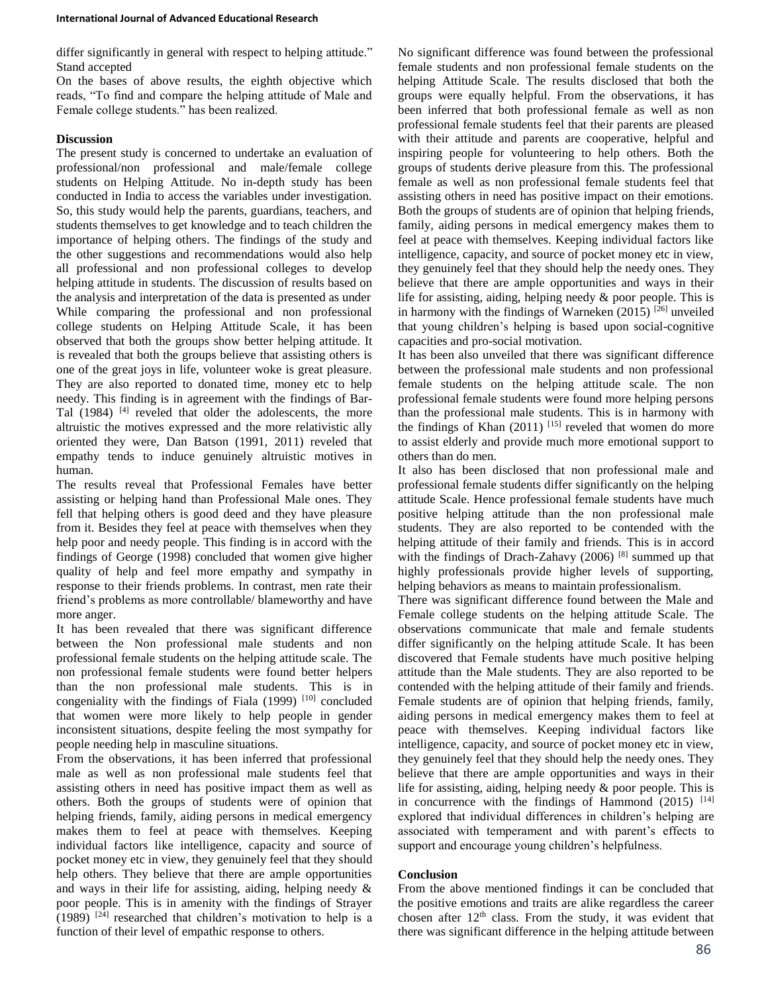differ significantly in general with respect to helping attitude." Stand accepted

On the bases of above results, the eighth objective which reads, "To find and compare the helping attitude of Male and Female college students." has been realized.

### **Discussion**

The present study is concerned to undertake an evaluation of professional/non professional and male/female college students on Helping Attitude. No in-depth study has been conducted in India to access the variables under investigation. So, this study would help the parents, guardians, teachers, and students themselves to get knowledge and to teach children the importance of helping others. The findings of the study and the other suggestions and recommendations would also help all professional and non professional colleges to develop helping attitude in students. The discussion of results based on the analysis and interpretation of the data is presented as under While comparing the professional and non professional college students on Helping Attitude Scale, it has been observed that both the groups show better helping attitude. It is revealed that both the groups believe that assisting others is one of the great joys in life, volunteer woke is great pleasure. They are also reported to donated time, money etc to help needy. This finding is in agreement with the findings of Bar-Tal (1984) <sup>[4]</sup> reveled that older the adolescents, the more altruistic the motives expressed and the more relativistic ally oriented they were, Dan Batson (1991, 2011) reveled that empathy tends to induce genuinely altruistic motives in human.

The results reveal that Professional Females have better assisting or helping hand than Professional Male ones. They fell that helping others is good deed and they have pleasure from it. Besides they feel at peace with themselves when they help poor and needy people. This finding is in accord with the findings of George (1998) concluded that women give higher quality of help and feel more empathy and sympathy in response to their friends problems. In contrast, men rate their friend's problems as more controllable/ blameworthy and have more anger.

It has been revealed that there was significant difference between the Non professional male students and non professional female students on the helping attitude scale. The non professional female students were found better helpers than the non professional male students. This is in congeniality with the findings of Fiala  $(1999)$ <sup>[10]</sup> concluded that women were more likely to help people in gender inconsistent situations, despite feeling the most sympathy for people needing help in masculine situations.

From the observations, it has been inferred that professional male as well as non professional male students feel that assisting others in need has positive impact them as well as others. Both the groups of students were of opinion that helping friends, family, aiding persons in medical emergency makes them to feel at peace with themselves. Keeping individual factors like intelligence, capacity and source of pocket money etc in view, they genuinely feel that they should help others. They believe that there are ample opportunities and ways in their life for assisting, aiding, helping needy & poor people. This is in amenity with the findings of Strayer (1989)  $[24]$  researched that children's motivation to help is a function of their level of empathic response to others.

No significant difference was found between the professional female students and non professional female students on the helping Attitude Scale. The results disclosed that both the groups were equally helpful. From the observations, it has been inferred that both professional female as well as non professional female students feel that their parents are pleased with their attitude and parents are cooperative, helpful and inspiring people for volunteering to help others. Both the groups of students derive pleasure from this. The professional female as well as non professional female students feel that assisting others in need has positive impact on their emotions. Both the groups of students are of opinion that helping friends, family, aiding persons in medical emergency makes them to feel at peace with themselves. Keeping individual factors like intelligence, capacity, and source of pocket money etc in view, they genuinely feel that they should help the needy ones. They believe that there are ample opportunities and ways in their life for assisting, aiding, helping needy & poor people. This is in harmony with the findings of Warneken (2015)  $^{[26]}$  unveiled that young children's helping is based upon social-cognitive capacities and pro-social motivation.

It has been also unveiled that there was significant difference between the professional male students and non professional female students on the helping attitude scale. The non professional female students were found more helping persons than the professional male students. This is in harmony with the findings of Khan (2011) [15] reveled that women do more to assist elderly and provide much more emotional support to others than do men.

It also has been disclosed that non professional male and professional female students differ significantly on the helping attitude Scale. Hence professional female students have much positive helping attitude than the non professional male students. They are also reported to be contended with the helping attitude of their family and friends. This is in accord with the findings of Drach-Zahavy (2006)<sup>[8]</sup> summed up that highly professionals provide higher levels of supporting, helping behaviors as means to maintain professionalism.

There was significant difference found between the Male and Female college students on the helping attitude Scale. The observations communicate that male and female students differ significantly on the helping attitude Scale. It has been discovered that Female students have much positive helping attitude than the Male students. They are also reported to be contended with the helping attitude of their family and friends. Female students are of opinion that helping friends, family, aiding persons in medical emergency makes them to feel at peace with themselves. Keeping individual factors like intelligence, capacity, and source of pocket money etc in view, they genuinely feel that they should help the needy ones. They believe that there are ample opportunities and ways in their life for assisting, aiding, helping needy & poor people. This is in concurrence with the findings of Hammond  $(2015)$ <sup>[14]</sup> explored that individual differences in children's helping are associated with temperament and with parent's effects to support and encourage young children's helpfulness.

### **Conclusion**

From the above mentioned findings it can be concluded that the positive emotions and traits are alike regardless the career chosen after  $12<sup>th</sup>$  class. From the study, it was evident that there was significant difference in the helping attitude between